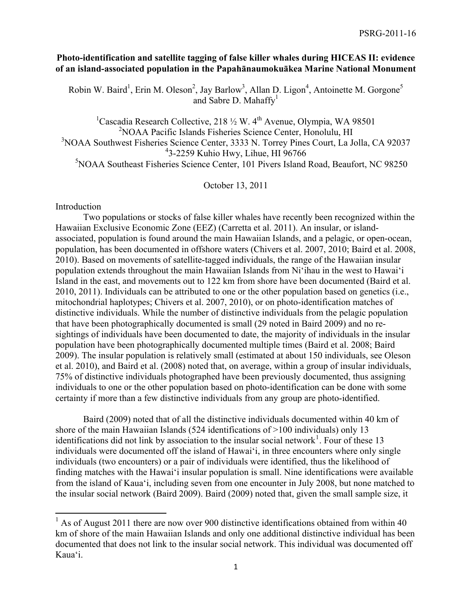## **Photo-identification and satellite tagging of false killer whales during HICEAS II: evidence of an island-associated population in the Papahānaumokuākea Marine National Monument**

Robin W. Baird<sup>1</sup>, Erin M. Oleson<sup>2</sup>, Jay Barlow<sup>3</sup>, Allan D. Ligon<sup>4</sup>, Antoinette M. Gorgone<sup>5</sup> and Sabre D. Mahaffy $<sup>1</sup>$ </sup>

<sup>1</sup>Cascadia Research Collective, 218  $\frac{1}{2}$  W. 4<sup>th</sup> Avenue, Olympia, WA 98501 NOAA Pacific Islands Fisheries Science Center, Honolulu, HI NOAA Southwest Fisheries Science Center, 3333 N. Torrey Pines Court, La Jolla, CA 92037 3-2259 Kuhio Hwy, Lihue, HI 96766 NOAA Southeast Fisheries Science Center, 101 Pivers Island Road, Beaufort, NC 98250

October 13, 2011

Introduction

 Two populations or stocks of false killer whales have recently been recognized within the Hawaiian Exclusive Economic Zone (EEZ) (Carretta et al. 2011). An insular, or islandassociated, population is found around the main Hawaiian Islands, and a pelagic, or open-ocean, population, has been documented in offshore waters (Chivers et al. 2007, 2010; Baird et al. 2008, 2010). Based on movements of satellite-tagged individuals, the range of the Hawaiian insular population extends throughout the main Hawaiian Islands from Ni'ihau in the west to Hawai'i Island in the east, and movements out to 122 km from shore have been documented (Baird et al. 2010, 2011). Individuals can be attributed to one or the other population based on genetics (i.e., mitochondrial haplotypes; Chivers et al. 2007, 2010), or on photo-identification matches of distinctive individuals. While the number of distinctive individuals from the pelagic population that have been photographically documented is small (29 noted in Baird 2009) and no resightings of individuals have been documented to date, the majority of individuals in the insular population have been photographically documented multiple times (Baird et al. 2008; Baird 2009). The insular population is relatively small (estimated at about 150 individuals, see Oleson et al. 2010), and Baird et al. (2008) noted that, on average, within a group of insular individuals, 75% of distinctive individuals photographed have been previously documented, thus assigning individuals to one or the other population based on photo-identification can be done with some certainty if more than a few distinctive individuals from any group are photo-identified.

Baird (2009) noted that of all the distinctive individuals documented within 40 km of shore of the main Hawaiian Islands (524 identifications of  $>100$  individuals) only 13 identifications did not link by association to the insular social network<sup>[1](#page-0-0)</sup>. Four of these 13 individuals were documented off the island of Hawai'i, in three encounters where only single individuals (two encounters) or a pair of individuals were identified, thus the likelihood of finding matches with the Hawai'i insular population is small. Nine identifications were available from the island of Kaua'i, including seven from one encounter in July 2008, but none matched to the insular social network (Baird 2009). Baird (2009) noted that, given the small sample size, it

<span id="page-0-0"></span><sup>&</sup>lt;sup>1</sup> As of August 2011 there are now over 900 distinctive identifications obtained from within 40 km of shore of the main Hawaiian Islands and only one additional distinctive individual has been documented that does not link to the insular social network. This individual was documented off Kaua'i.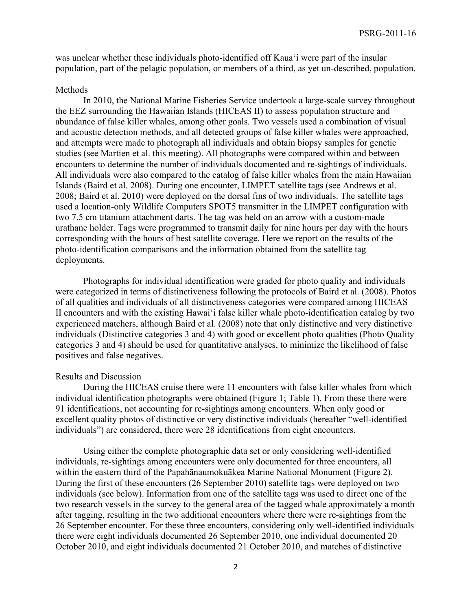was unclear whether these individuals photo-identified off Kaua'i were part of the insular population, part of the pelagic population, or members of a third, as yet un-described, population.

## Methods

In 2010, the National Marine Fisheries Service undertook a large-scale survey throughout the EEZ surrounding the Hawaiian Islands (HICEAS II) to assess population structure and abundance of false killer whales, among other goals. Two vessels used a combination of visual and acoustic detection methods, and all detected groups of false killer whales were approached, and attempts were made to photograph all individuals and obtain biopsy samples for genetic studies (see Martien et al. this meeting). All photographs were compared within and between encounters to determine the number of individuals documented and re-sightings of individuals. All individuals were also compared to the catalog of false killer whales from the main Hawaiian Islands (Baird et al. 2008). During one encounter, LIMPET satellite tags (see Andrews et al. 2008; Baird et al. 2010) were deployed on the dorsal fins of two individuals. The satellite tags used a location-only Wildlife Computers SPOT5 transmitter in the LIMPET configuration with two 7.5 cm titanium attachment darts. The tag was held on an arrow with a custom-made urathane holder. Tags were programmed to transmit daily for nine hours per day with the hours corresponding with the hours of best satellite coverage. Here we report on the results of the photo-identification comparisons and the information obtained from the satellite tag deployments.

Photographs for individual identification were graded for photo quality and individuals were categorized in terms of distinctiveness following the protocols of Baird et al. (2008). Photos of all qualities and individuals of all distinctiveness categories were compared among HICEAS II encounters and with the existing Hawai'i false killer whale photo-identification catalog by two experienced matchers, although Baird et al. (2008) note that only distinctive and very distinctive individuals (Distinctive categories 3 and 4) with good or excellent photo qualities (Photo Quality categories 3 and 4) should be used for quantitative analyses, to minimize the likelihood of false positives and false negatives.

## Results and Discussion

During the HICEAS cruise there were 11 encounters with false killer whales from which individual identification photographs were obtained (Figure 1; Table 1). From these there were 91 identifications, not accounting for re-sightings among encounters. When only good or excellent quality photos of distinctive or very distinctive individuals (hereafter "well-identified individuals") are considered, there were 28 identifications from eight encounters.

Using either the complete photographic data set or only considering well-identified individuals, re-sightings among encounters were only documented for three encounters, all within the eastern third of the Papahānaumokuākea Marine National Monument (Figure 2). During the first of these encounters (26 September 2010) satellite tags were deployed on two individuals (see below). Information from one of the satellite tags was used to direct one of the two research vessels in the survey to the general area of the tagged whale approximately a month after tagging, resulting in the two additional encounters where there were re-sightings from the 26 September encounter. For these three encounters, considering only well-identified individuals there were eight individuals documented 26 September 2010, one individual documented 20 October 2010, and eight individuals documented 21 October 2010, and matches of distinctive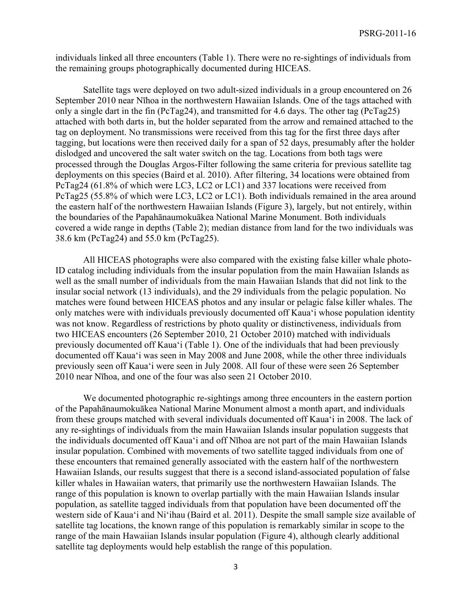individuals linked all three encounters (Table 1). There were no re-sightings of individuals from the remaining groups photographically documented during HICEAS.

Satellite tags were deployed on two adult-sized individuals in a group encountered on 26 September 2010 near Nīhoa in the northwestern Hawaiian Islands. One of the tags attached with only a single dart in the fin (PcTag24), and transmitted for 4.6 days. The other tag (PcTag25) attached with both darts in, but the holder separated from the arrow and remained attached to the tag on deployment. No transmissions were received from this tag for the first three days after tagging, but locations were then received daily for a span of 52 days, presumably after the holder dislodged and uncovered the salt water switch on the tag. Locations from both tags were processed through the Douglas Argos-Filter following the same criteria for previous satellite tag deployments on this species (Baird et al. 2010). After filtering, 34 locations were obtained from PcTag24 (61.8% of which were LC3, LC2 or LC1) and 337 locations were received from PcTag25 (55.8% of which were LC3, LC2 or LC1). Both individuals remained in the area around the eastern half of the northwestern Hawaiian Islands (Figure 3), largely, but not entirely, within the boundaries of the Papahānaumokuākea National Marine Monument. Both individuals covered a wide range in depths (Table 2); median distance from land for the two individuals was 38.6 km (PcTag24) and 55.0 km (PcTag25).

All HICEAS photographs were also compared with the existing false killer whale photo-ID catalog including individuals from the insular population from the main Hawaiian Islands as well as the small number of individuals from the main Hawaiian Islands that did not link to the insular social network (13 individuals), and the 29 individuals from the pelagic population. No matches were found between HICEAS photos and any insular or pelagic false killer whales. The only matches were with individuals previously documented off Kaua'i whose population identity was not know. Regardless of restrictions by photo quality or distinctiveness, individuals from two HICEAS encounters (26 September 2010, 21 October 2010) matched with individuals previously documented off Kaua'i (Table 1). One of the individuals that had been previously documented off Kaua'i was seen in May 2008 and June 2008, while the other three individuals previously seen off Kaua'i were seen in July 2008. All four of these were seen 26 September 2010 near Nīhoa, and one of the four was also seen 21 October 2010.

We documented photographic re-sightings among three encounters in the eastern portion of the Papahānaumokuākea National Marine Monument almost a month apart, and individuals from these groups matched with several individuals documented off Kaua'i in 2008. The lack of any re-sightings of individuals from the main Hawaiian Islands insular population suggests that the individuals documented off Kaua'i and off Nīhoa are not part of the main Hawaiian Islands insular population. Combined with movements of two satellite tagged individuals from one of these encounters that remained generally associated with the eastern half of the northwestern Hawaiian Islands, our results suggest that there is a second island-associated population of false killer whales in Hawaiian waters, that primarily use the northwestern Hawaiian Islands. The range of this population is known to overlap partially with the main Hawaiian Islands insular population, as satellite tagged individuals from that population have been documented off the western side of Kaua'i and Ni'ihau (Baird et al. 2011). Despite the small sample size available of satellite tag locations, the known range of this population is remarkably similar in scope to the range of the main Hawaiian Islands insular population (Figure 4), although clearly additional satellite tag deployments would help establish the range of this population.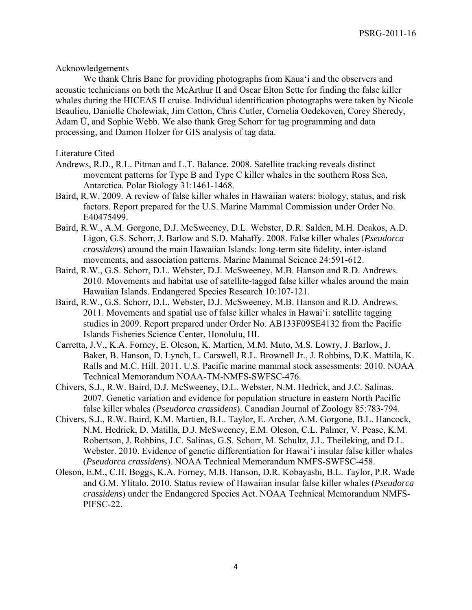Acknowledgements

 We thank Chris Bane for providing photographs from Kaua'i and the observers and acoustic technicians on both the McArthur II and Oscar Elton Sette for finding the false killer whales during the HICEAS II cruise. Individual identification photographs were taken by Nicole Beaulieu, Danielle Cholewiak, Jim Cotton, Chris Cutler, Cornelia Oedekoven, Corey Sheredy, Adam Ü, and Sophie Webb. We also thank Greg Schorr for tag programming and data processing, and Damon Holzer for GIS analysis of tag data.

## Literature Cited

- Andrews, R.D., R.L. Pitman and L.T. Balance. 2008. Satellite tracking reveals distinct movement patterns for Type B and Type C killer whales in the southern Ross Sea, Antarctica. Polar Biology 31:1461-1468.
- Baird, R.W. 2009. A review of false killer whales in Hawaiian waters: biology, status, and risk factors. Report prepared for the U.S. Marine Mammal Commission under Order No. E40475499.
- Baird, R.W., A.M. Gorgone, D.J. McSweeney, D.L. Webster, D.R. Salden, M.H. Deakos, A.D. Ligon, G.S. Schorr, J. Barlow and S.D. Mahaffy. 2008. False killer whales (*Pseudorca crassidens*) around the main Hawaiian Islands: long-term site fidelity, inter-island movements, and association patterns. Marine Mammal Science 24:591-612.
- Baird, R.W., G.S. Schorr, D.L. Webster, D.J. McSweeney, M.B. Hanson and R.D. Andrews. 2010. Movements and habitat use of satellite-tagged false killer whales around the main Hawaiian Islands. Endangered Species Research 10:107-121.
- Baird, R.W., G.S. Schorr, D.L. Webster, D.J. McSweeney, M.B. Hanson and R.D. Andrews. 2011. Movements and spatial use of false killer whales in Hawai'i: satellite tagging studies in 2009. Report prepared under Order No. AB133F09SE4132 from the Pacific Islands Fisheries Science Center, Honolulu, HI.
- Carretta, J.V., K.A. Forney, E. Oleson, K. Martien, M.M. Muto, M.S. Lowry, J. Barlow, J. Baker, B. Hanson, D. Lynch, L. Carswell, R.L. Brownell Jr., J. Robbins, D.K. Mattila, K. Ralls and M.C. Hill. 2011. U.S. Pacific marine mammal stock assessments: 2010. NOAA Technical Memorandum NOAA-TM-NMFS-SWFSC-476.
- Chivers, S.J., R.W. Baird, D.J. McSweeney, D.L. Webster, N.M. Hedrick, and J.C. Salinas. 2007. Genetic variation and evidence for population structure in eastern North Pacific false killer whales (*Pseudorca crassidens*). Canadian Journal of Zoology 85:783-794.
- Chivers, S.J., R.W. Baird, K.M. Martien, B.L. Taylor, E. Archer, A.M. Gorgone, B.L. Hancock, N.M. Hedrick, D. Matilla, D.J. McSweeney, E.M. Oleson, C.L. Palmer, V. Pease, K.M. Robertson, J. Robbins, J.C. Salinas, G.S. Schorr, M. Schultz, J.L. Theileking, and D.L. Webster. 2010. Evidence of genetic differentiation for Hawai'i insular false killer whales (*Pseudorca crassidens*). NOAA Technical Memorandum NMFS-SWFSC-458.
- Oleson, E.M., C.H. Boggs, K.A. Forney, M.B. Hanson, D.R. Kobayashi, B.L. Taylor, P.R. Wade and G.M. Ylitalo. 2010. Status review of Hawaiian insular false killer whales (*Pseudorca crassidens*) under the Endangered Species Act. NOAA Technical Memorandum NMFS-PIFSC-22.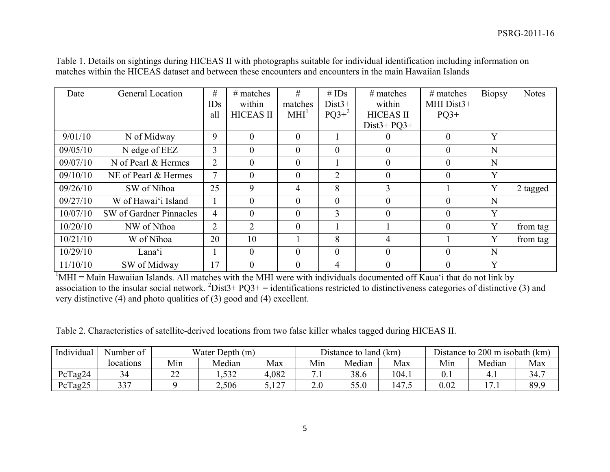| Date     | General Location        | #              | $#$ matches      | #                | # $IDs$          | $#$ matches      | $#$ matches    | Biopsy | <b>Notes</b> |
|----------|-------------------------|----------------|------------------|------------------|------------------|------------------|----------------|--------|--------------|
|          |                         | IDs            | within           | matches          | $Dist3+$         | within           | MHI Dist3+     |        |              |
|          |                         | all            | <b>HICEAS II</b> | MHI <sup>1</sup> | $PQ3+^2$         | <b>HICEAS II</b> | $PQ3+$         |        |              |
|          |                         |                |                  |                  |                  | $Dist3 + PO3 +$  |                |        |              |
| 9/01/10  | N of Midway             | 9              | $\theta$         | $\mathbf{0}$     |                  | $\theta$         | $\theta$       | Y      |              |
| 09/05/10 | N edge of EEZ           | 3              | $\theta$         | $\theta$         | $\boldsymbol{0}$ | $\overline{0}$   | $\theta$       | N      |              |
| 09/07/10 | N of Pearl & Hermes     | $\overline{2}$ | $\theta$         | $\theta$         |                  | $\theta$         | $\overline{0}$ | N      |              |
| 09/10/10 | NE of Pearl & Hermes    | $\tau$         | $\theta$         | $\theta$         | $\overline{2}$   | $\overline{0}$   | $\theta$       | Y      |              |
| 09/26/10 | SW of Nīhoa             | 25             | 9                | 4                | 8                | $\overline{3}$   |                | Y      | 2 tagged     |
| 09/27/10 | W of Hawai'i Island     |                | $\theta$         | $\theta$         | $\overline{0}$   | $\theta$         | $\overline{0}$ | N      |              |
| 10/07/10 | SW of Gardner Pinnacles | $\overline{4}$ | $\theta$         | $\theta$         | 3                | $\overline{0}$   | $\overline{0}$ | Y      |              |
| 10/20/10 | NW of Nīhoa             | $\overline{2}$ | $\overline{2}$   | $\theta$         |                  |                  | $\theta$       | Y      | from tag     |
| 10/21/10 | W of Nīhoa              | 20             | 10               |                  | 8                | $\overline{4}$   |                | Y      | from tag     |
| 10/29/10 | Lanaʻi                  |                | $\theta$         | $\mathbf{0}$     | $\overline{0}$   | $\overline{0}$   | $\overline{0}$ | N      |              |
| 11/10/10 | SW of Midway            | 17             | $\theta$         | $\theta$         | 4                | $\theta$         | $\theta$       | Y      |              |

Table 1. Details on sightings during HICEAS II with photographs suitable for individual identification including information on matches within the HICEAS dataset and between these encounters and encounters in the main Hawaiian Islands

 $1<sup>1</sup>$ MHI = Main Hawaiian Islands. All matches with the MHI were with individuals documented off Kaua'i that do not link by association to the insular social network. <sup>2</sup>Dist3+ PQ3+ = identifications restricted to distinctiveness categories of distinctive (3) and very distinctive (4) and photo qualities of (3) good and (4) excellent.

Table 2. Characteristics of satellite-derived locations from two false killer whales tagged during HICEAS II.

| Individual | Number of |              | Water Depth (m) |                              |        | Distance to land (km) |       | Distance to 200 m isobath (km) |        |                 |
|------------|-----------|--------------|-----------------|------------------------------|--------|-----------------------|-------|--------------------------------|--------|-----------------|
|            | locations | Min          | Median          | Max                          | Min    | Median                | Max   | Min                            | Median | Max             |
| PcTag24    | $\sim$    | $\sim$<br>∠∠ | 1,532           | 4,082                        | .      | 38.6                  | 104.1 | $0.1\,$                        | т. 1   | 347<br><u>.</u> |
| PcTag25    | 337<br>ັ້ |              | 2,506           | $1 \cap 7$<br>$\overline{1}$ | $\sim$ |                       | 147.5 | $0.02\,$                       | . .    | 89.9            |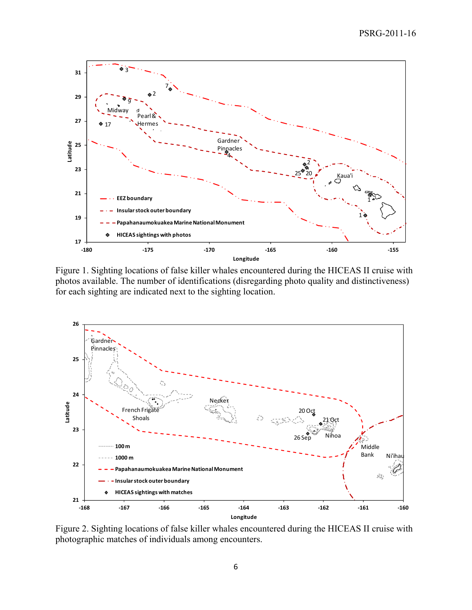

Figure 1. Sighting locations of false killer whales encountered during the HICEAS II cruise with photos available. The number of identifications (disregarding photo quality and distinctiveness) for each sighting are indicated next to the sighting location.



Figure 2. Sighting locations of false killer whales encountered during the HICEAS II cruise with photographic matches of individuals among encounters.